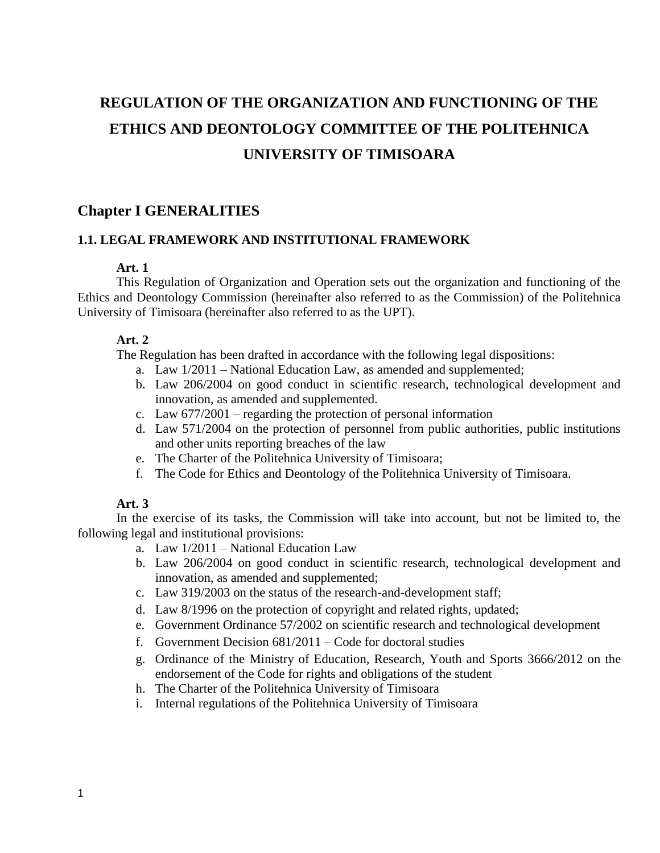# **REGULATION OF THE ORGANIZATION AND FUNCTIONING OF THE ETHICS AND DEONTOLOGY COMMITTEE OF THE POLITEHNICA UNIVERSITY OF TIMISOARA**

# **Chapter I GENERALITIES**

## **1.1. LEGAL FRAMEWORK AND INSTITUTIONAL FRAMEWORK**

## **Art. 1**

This Regulation of Organization and Operation sets out the organization and functioning of the Ethics and Deontology Commission (hereinafter also referred to as the Commission) of the Politehnica University of Timisoara (hereinafter also referred to as the UPT).

## **Art. 2**

The Regulation has been drafted in accordance with the following legal dispositions:

- a. Law 1/2011 National Education Law, as amended and supplemented;
- b. Law 206/2004 on good conduct in scientific research, technological development and innovation, as amended and supplemented.
- c. Law 677/2001 regarding the protection of personal information
- d. Law 571/2004 on the protection of personnel from public authorities, public institutions and other units reporting breaches of the law
- e. The Charter of the Politehnica University of Timisoara;
- f. The Code for Ethics and Deontology of the Politehnica University of Timisoara.

## **Art. 3**

In the exercise of its tasks, the Commission will take into account, but not be limited to, the following legal and institutional provisions:

- a. Law 1/2011 National Education Law
- b. Law 206/2004 on good conduct in scientific research, technological development and innovation, as amended and supplemented;
- c. Law 319/2003 on the status of the research-and-development staff;
- d. Law 8/1996 on the protection of copyright and related rights, updated;
- e. Government Ordinance 57/2002 on scientific research and technological development
- f. Government Decision 681/2011 Code for doctoral studies
- g. Ordinance of the Ministry of Education, Research, Youth and Sports 3666/2012 on the endorsement of the Code for rights and obligations of the student
- h. The Charter of the Politehnica University of Timisoara
- i. Internal regulations of the Politehnica University of Timisoara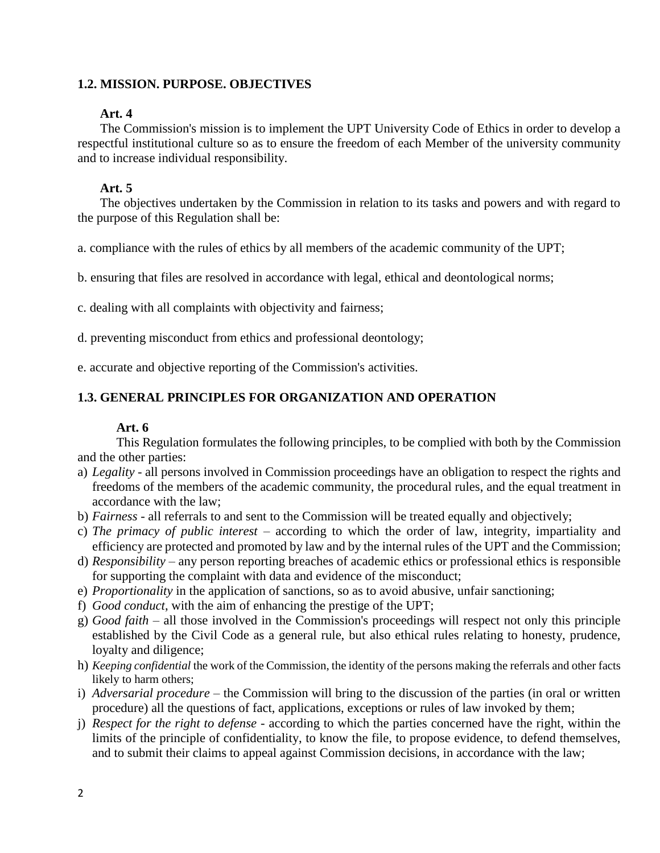## **1.2. MISSION. PURPOSE. OBJECTIVES**

## **Art. 4**

The Commission's mission is to implement the UPT University Code of Ethics in order to develop a respectful institutional culture so as to ensure the freedom of each Member of the university community and to increase individual responsibility.

# **Art. 5**

The objectives undertaken by the Commission in relation to its tasks and powers and with regard to the purpose of this Regulation shall be:

a. compliance with the rules of ethics by all members of the academic community of the UPT;

b. ensuring that files are resolved in accordance with legal, ethical and deontological norms;

c. dealing with all complaints with objectivity and fairness;

d. preventing misconduct from ethics and professional deontology;

e. accurate and objective reporting of the Commission's activities.

# **1.3. GENERAL PRINCIPLES FOR ORGANIZATION AND OPERATION**

# **Art. 6**

This Regulation formulates the following principles, to be complied with both by the Commission and the other parties:

- a) *Legality* all persons involved in Commission proceedings have an obligation to respect the rights and freedoms of the members of the academic community, the procedural rules, and the equal treatment in accordance with the law;
- b) *Fairness* all referrals to and sent to the Commission will be treated equally and objectively;
- c) *The primacy of public interest* according to which the order of law, integrity, impartiality and efficiency are protected and promoted by law and by the internal rules of the UPT and the Commission;
- d) *Responsibility* any person reporting breaches of academic ethics or professional ethics is responsible for supporting the complaint with data and evidence of the misconduct;
- e) *Proportionality* in the application of sanctions, so as to avoid abusive, unfair sanctioning;
- f) *Good conduct*, with the aim of enhancing the prestige of the UPT;
- g) *Good faith* all those involved in the Commission's proceedings will respect not only this principle established by the Civil Code as a general rule, but also ethical rules relating to honesty, prudence, loyalty and diligence;
- h) *Keeping confidential* the work of the Commission, the identity of the persons making the referrals and other facts likely to harm others;
- i) *Adversarial procedure* the Commission will bring to the discussion of the parties (in oral or written procedure) all the questions of fact, applications, exceptions or rules of law invoked by them;
- j) *Respect for the right to defense* according to which the parties concerned have the right, within the limits of the principle of confidentiality, to know the file, to propose evidence, to defend themselves, and to submit their claims to appeal against Commission decisions, in accordance with the law;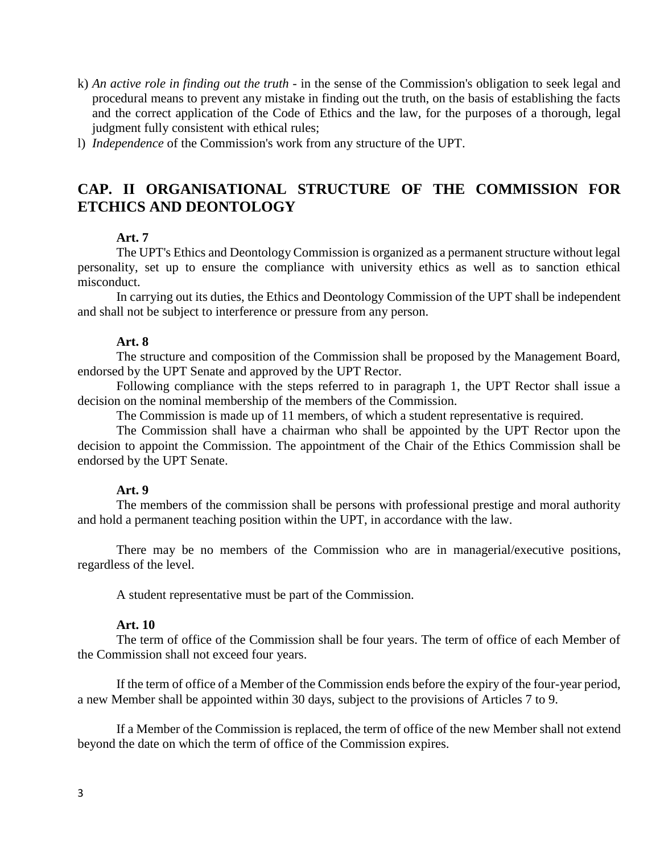- k) *An active role in finding out the truth* in the sense of the Commission's obligation to seek legal and procedural means to prevent any mistake in finding out the truth, on the basis of establishing the facts and the correct application of the Code of Ethics and the law, for the purposes of a thorough, legal judgment fully consistent with ethical rules;
- l) *Independence* of the Commission's work from any structure of the UPT.

# **CAP. II ORGANISATIONAL STRUCTURE OF THE COMMISSION FOR ETCHICS AND DEONTOLOGY**

# **Art. 7**

The UPT's Ethics and Deontology Commission is organized as a permanent structure without legal personality, set up to ensure the compliance with university ethics as well as to sanction ethical misconduct.

In carrying out its duties, the Ethics and Deontology Commission of the UPT shall be independent and shall not be subject to interference or pressure from any person.

#### **Art. 8**

The structure and composition of the Commission shall be proposed by the Management Board, endorsed by the UPT Senate and approved by the UPT Rector.

Following compliance with the steps referred to in paragraph 1, the UPT Rector shall issue a decision on the nominal membership of the members of the Commission.

The Commission is made up of 11 members, of which a student representative is required.

The Commission shall have a chairman who shall be appointed by the UPT Rector upon the decision to appoint the Commission. The appointment of the Chair of the Ethics Commission shall be endorsed by the UPT Senate.

#### **Art. 9**

The members of the commission shall be persons with professional prestige and moral authority and hold a permanent teaching position within the UPT, in accordance with the law.

There may be no members of the Commission who are in managerial/executive positions, regardless of the level.

A student representative must be part of the Commission.

#### **Art. 10**

The term of office of the Commission shall be four years. The term of office of each Member of the Commission shall not exceed four years.

If the term of office of a Member of the Commission ends before the expiry of the four-year period, a new Member shall be appointed within 30 days, subject to the provisions of Articles 7 to 9.

If a Member of the Commission is replaced, the term of office of the new Member shall not extend beyond the date on which the term of office of the Commission expires.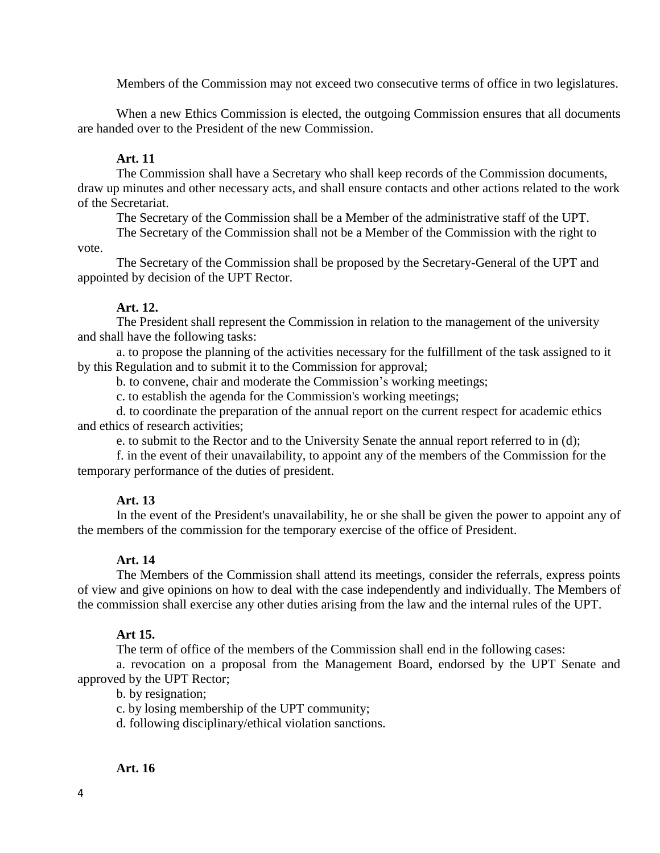Members of the Commission may not exceed two consecutive terms of office in two legislatures.

When a new Ethics Commission is elected, the outgoing Commission ensures that all documents are handed over to the President of the new Commission.

## **Art. 11**

The Commission shall have a Secretary who shall keep records of the Commission documents, draw up minutes and other necessary acts, and shall ensure contacts and other actions related to the work of the Secretariat.

The Secretary of the Commission shall be a Member of the administrative staff of the UPT.

The Secretary of the Commission shall not be a Member of the Commission with the right to vote.

The Secretary of the Commission shall be proposed by the Secretary-General of the UPT and appointed by decision of the UPT Rector.

## **Art. 12.**

The President shall represent the Commission in relation to the management of the university and shall have the following tasks:

a. to propose the planning of the activities necessary for the fulfillment of the task assigned to it by this Regulation and to submit it to the Commission for approval;

b. to convene, chair and moderate the Commission's working meetings;

c. to establish the agenda for the Commission's working meetings;

d. to coordinate the preparation of the annual report on the current respect for academic ethics and ethics of research activities;

e. to submit to the Rector and to the University Senate the annual report referred to in (d);

f. in the event of their unavailability, to appoint any of the members of the Commission for the temporary performance of the duties of president.

## **Art. 13**

In the event of the President's unavailability, he or she shall be given the power to appoint any of the members of the commission for the temporary exercise of the office of President.

## **Art. 14**

The Members of the Commission shall attend its meetings, consider the referrals, express points of view and give opinions on how to deal with the case independently and individually. The Members of the commission shall exercise any other duties arising from the law and the internal rules of the UPT.

## **Art 15.**

The term of office of the members of the Commission shall end in the following cases:

a. revocation on a proposal from the Management Board, endorsed by the UPT Senate and approved by the UPT Rector;

b. by resignation;

c. by losing membership of the UPT community;

d. following disciplinary/ethical violation sanctions.

## **Art. 16**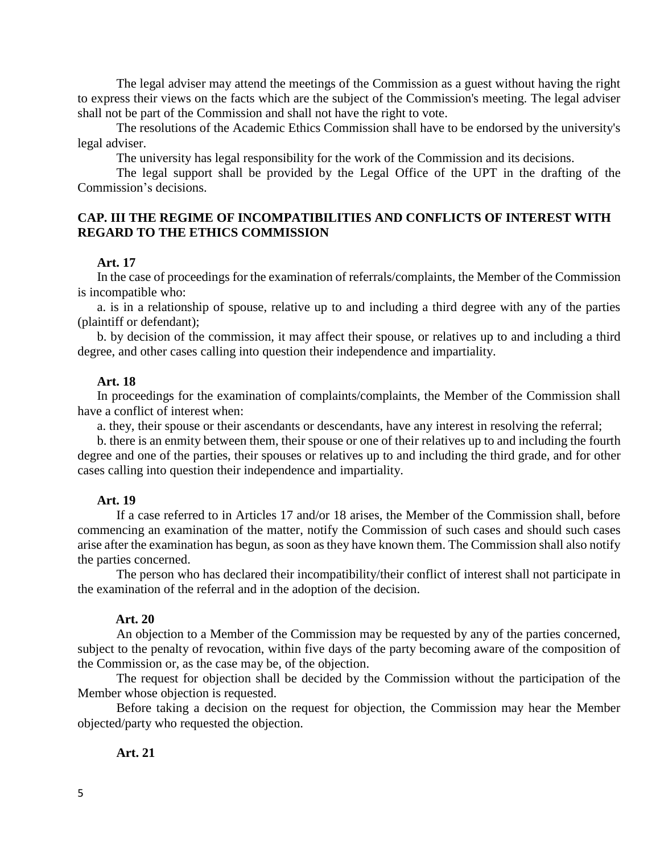The legal adviser may attend the meetings of the Commission as a guest without having the right to express their views on the facts which are the subject of the Commission's meeting. The legal adviser shall not be part of the Commission and shall not have the right to vote.

The resolutions of the Academic Ethics Commission shall have to be endorsed by the university's legal adviser.

The university has legal responsibility for the work of the Commission and its decisions.

The legal support shall be provided by the Legal Office of the UPT in the drafting of the Commission's decisions.

## **CAP. III THE REGIME OF INCOMPATIBILITIES AND CONFLICTS OF INTEREST WITH REGARD TO THE ETHICS COMMISSION**

#### **Art. 17**

In the case of proceedings for the examination of referrals/complaints, the Member of the Commission is incompatible who:

a. is in a relationship of spouse, relative up to and including a third degree with any of the parties (plaintiff or defendant);

b. by decision of the commission, it may affect their spouse, or relatives up to and including a third degree, and other cases calling into question their independence and impartiality.

#### **Art. 18**

In proceedings for the examination of complaints/complaints, the Member of the Commission shall have a conflict of interest when:

a. they, their spouse or their ascendants or descendants, have any interest in resolving the referral;

b. there is an enmity between them, their spouse or one of their relatives up to and including the fourth degree and one of the parties, their spouses or relatives up to and including the third grade, and for other cases calling into question their independence and impartiality.

## **Art. 19**

If a case referred to in Articles 17 and/or 18 arises, the Member of the Commission shall, before commencing an examination of the matter, notify the Commission of such cases and should such cases arise after the examination has begun, as soon as they have known them. The Commission shall also notify the parties concerned.

The person who has declared their incompatibility/their conflict of interest shall not participate in the examination of the referral and in the adoption of the decision.

## **Art. 20**

An objection to a Member of the Commission may be requested by any of the parties concerned, subject to the penalty of revocation, within five days of the party becoming aware of the composition of the Commission or, as the case may be, of the objection.

The request for objection shall be decided by the Commission without the participation of the Member whose objection is requested.

Before taking a decision on the request for objection, the Commission may hear the Member objected/party who requested the objection.

## **Art. 21**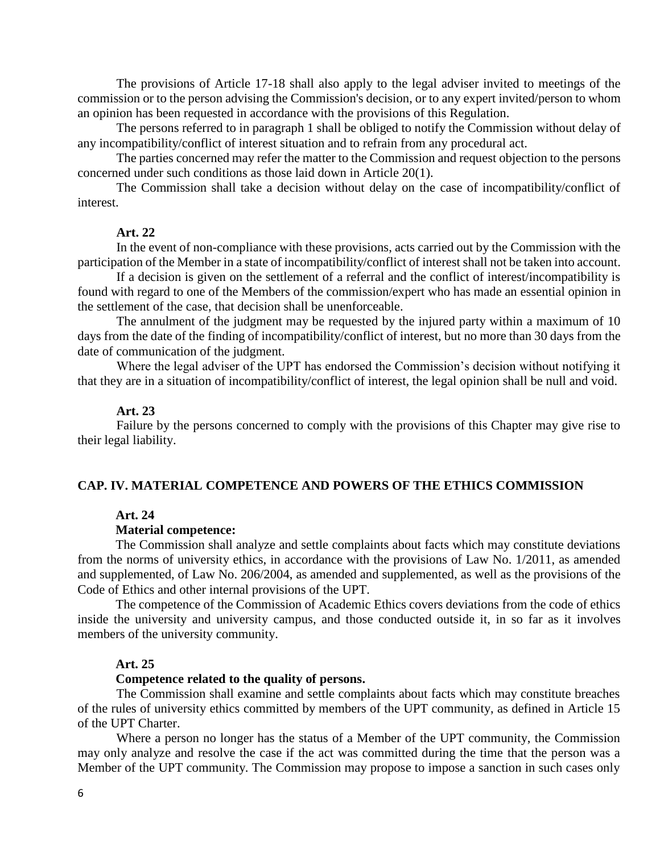The provisions of Article 17-18 shall also apply to the legal adviser invited to meetings of the commission or to the person advising the Commission's decision, or to any expert invited/person to whom an opinion has been requested in accordance with the provisions of this Regulation.

The persons referred to in paragraph 1 shall be obliged to notify the Commission without delay of any incompatibility/conflict of interest situation and to refrain from any procedural act.

The parties concerned may refer the matter to the Commission and request objection to the persons concerned under such conditions as those laid down in Article 20(1).

The Commission shall take a decision without delay on the case of incompatibility/conflict of interest.

## **Art. 22**

In the event of non-compliance with these provisions, acts carried out by the Commission with the participation of the Member in a state of incompatibility/conflict of interest shall not be taken into account.

If a decision is given on the settlement of a referral and the conflict of interest/incompatibility is found with regard to one of the Members of the commission/expert who has made an essential opinion in the settlement of the case, that decision shall be unenforceable.

The annulment of the judgment may be requested by the injured party within a maximum of 10 days from the date of the finding of incompatibility/conflict of interest, but no more than 30 days from the date of communication of the judgment.

Where the legal adviser of the UPT has endorsed the Commission's decision without notifying it that they are in a situation of incompatibility/conflict of interest, the legal opinion shall be null and void.

#### **Art. 23**

Failure by the persons concerned to comply with the provisions of this Chapter may give rise to their legal liability.

## **CAP. IV. MATERIAL COMPETENCE AND POWERS OF THE ETHICS COMMISSION**

## **Art. 24**

## **Material competence:**

The Commission shall analyze and settle complaints about facts which may constitute deviations from the norms of university ethics, in accordance with the provisions of Law No. 1/2011, as amended and supplemented, of Law No. 206/2004, as amended and supplemented, as well as the provisions of the Code of Ethics and other internal provisions of the UPT.

The competence of the Commission of Academic Ethics covers deviations from the code of ethics inside the university and university campus, and those conducted outside it, in so far as it involves members of the university community.

#### **Art. 25**

#### **Competence related to the quality of persons.**

The Commission shall examine and settle complaints about facts which may constitute breaches of the rules of university ethics committed by members of the UPT community, as defined in Article 15 of the UPT Charter.

Where a person no longer has the status of a Member of the UPT community, the Commission may only analyze and resolve the case if the act was committed during the time that the person was a Member of the UPT community. The Commission may propose to impose a sanction in such cases only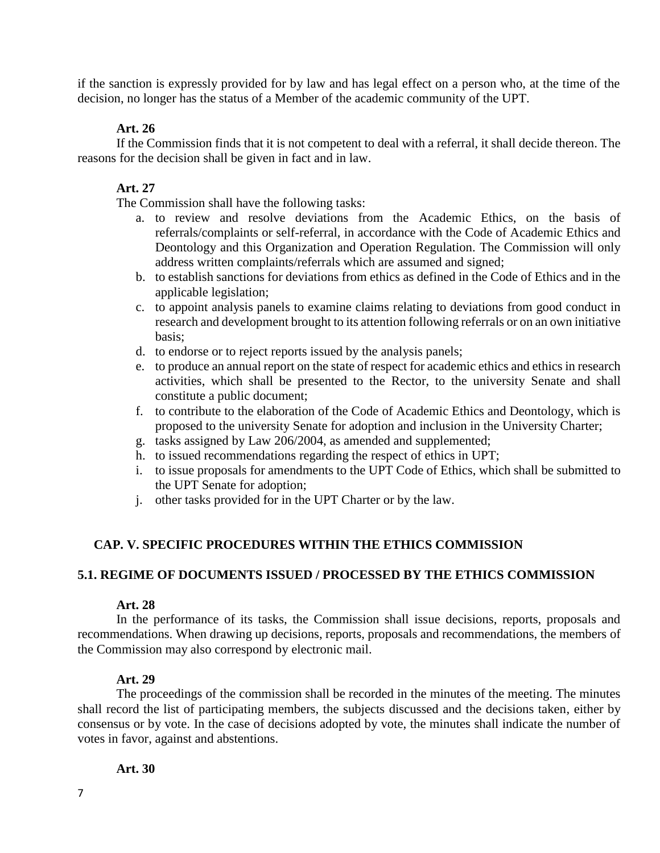if the sanction is expressly provided for by law and has legal effect on a person who, at the time of the decision, no longer has the status of a Member of the academic community of the UPT.

## **Art. 26**

If the Commission finds that it is not competent to deal with a referral, it shall decide thereon. The reasons for the decision shall be given in fact and in law.

## **Art. 27**

The Commission shall have the following tasks:

- a. to review and resolve deviations from the Academic Ethics, on the basis of referrals/complaints or self-referral, in accordance with the Code of Academic Ethics and Deontology and this Organization and Operation Regulation. The Commission will only address written complaints/referrals which are assumed and signed;
- b. to establish sanctions for deviations from ethics as defined in the Code of Ethics and in the applicable legislation;
- c. to appoint analysis panels to examine claims relating to deviations from good conduct in research and development brought to its attention following referrals or on an own initiative basis;
- d. to endorse or to reject reports issued by the analysis panels;
- e. to produce an annual report on the state of respect for academic ethics and ethics in research activities, which shall be presented to the Rector, to the university Senate and shall constitute a public document;
- f. to contribute to the elaboration of the Code of Academic Ethics and Deontology, which is proposed to the university Senate for adoption and inclusion in the University Charter;
- g. tasks assigned by Law 206/2004, as amended and supplemented;
- h. to issued recommendations regarding the respect of ethics in UPT;
- i. to issue proposals for amendments to the UPT Code of Ethics, which shall be submitted to the UPT Senate for adoption;
- j. other tasks provided for in the UPT Charter or by the law.

# **CAP. V. SPECIFIC PROCEDURES WITHIN THE ETHICS COMMISSION**

## **5.1. REGIME OF DOCUMENTS ISSUED / PROCESSED BY THE ETHICS COMMISSION**

## **Art. 28**

In the performance of its tasks, the Commission shall issue decisions, reports, proposals and recommendations. When drawing up decisions, reports, proposals and recommendations, the members of the Commission may also correspond by electronic mail.

## **Art. 29**

The proceedings of the commission shall be recorded in the minutes of the meeting. The minutes shall record the list of participating members, the subjects discussed and the decisions taken, either by consensus or by vote. In the case of decisions adopted by vote, the minutes shall indicate the number of votes in favor, against and abstentions.

## **Art. 30**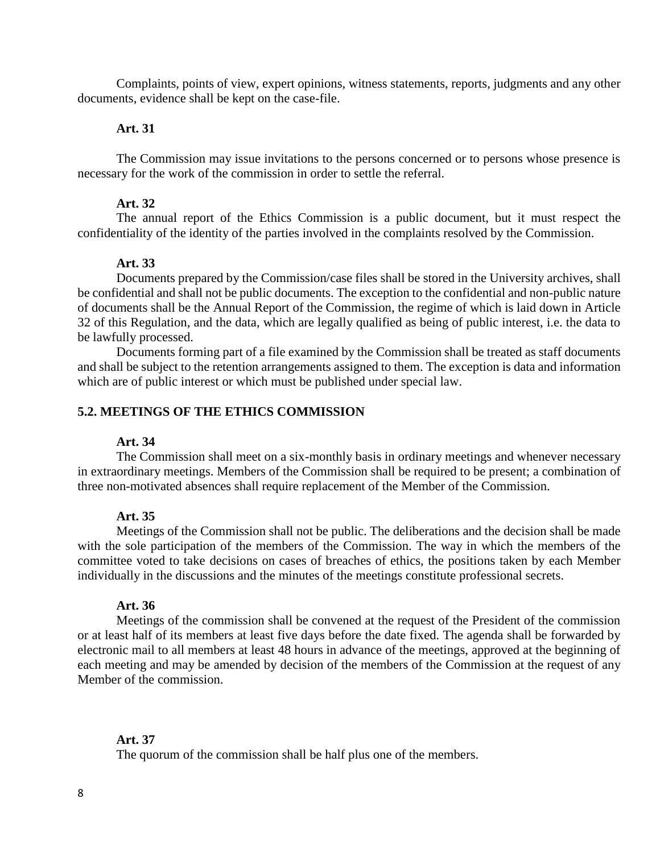Complaints, points of view, expert opinions, witness statements, reports, judgments and any other documents, evidence shall be kept on the case-file.

## **Art. 31**

The Commission may issue invitations to the persons concerned or to persons whose presence is necessary for the work of the commission in order to settle the referral.

#### **Art. 32**

The annual report of the Ethics Commission is a public document, but it must respect the confidentiality of the identity of the parties involved in the complaints resolved by the Commission.

## **Art. 33**

Documents prepared by the Commission/case files shall be stored in the University archives, shall be confidential and shall not be public documents. The exception to the confidential and non-public nature of documents shall be the Annual Report of the Commission, the regime of which is laid down in Article 32 of this Regulation, and the data, which are legally qualified as being of public interest, i.e. the data to be lawfully processed.

Documents forming part of a file examined by the Commission shall be treated as staff documents and shall be subject to the retention arrangements assigned to them. The exception is data and information which are of public interest or which must be published under special law.

## **5.2. MEETINGS OF THE ETHICS COMMISSION**

#### **Art. 34**

The Commission shall meet on a six-monthly basis in ordinary meetings and whenever necessary in extraordinary meetings. Members of the Commission shall be required to be present; a combination of three non-motivated absences shall require replacement of the Member of the Commission.

## **Art. 35**

Meetings of the Commission shall not be public. The deliberations and the decision shall be made with the sole participation of the members of the Commission. The way in which the members of the committee voted to take decisions on cases of breaches of ethics, the positions taken by each Member individually in the discussions and the minutes of the meetings constitute professional secrets.

## **Art. 36**

Meetings of the commission shall be convened at the request of the President of the commission or at least half of its members at least five days before the date fixed. The agenda shall be forwarded by electronic mail to all members at least 48 hours in advance of the meetings, approved at the beginning of each meeting and may be amended by decision of the members of the Commission at the request of any Member of the commission.

## **Art. 37**

The quorum of the commission shall be half plus one of the members.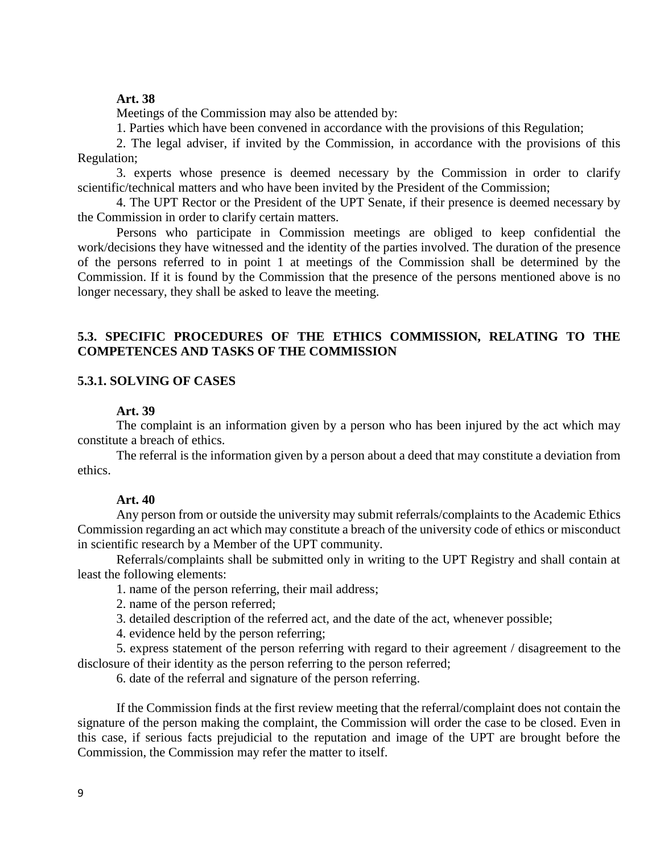## **Art. 38**

Meetings of the Commission may also be attended by:

1. Parties which have been convened in accordance with the provisions of this Regulation;

2. The legal adviser, if invited by the Commission, in accordance with the provisions of this Regulation;

3. experts whose presence is deemed necessary by the Commission in order to clarify scientific/technical matters and who have been invited by the President of the Commission;

4. The UPT Rector or the President of the UPT Senate, if their presence is deemed necessary by the Commission in order to clarify certain matters.

Persons who participate in Commission meetings are obliged to keep confidential the work/decisions they have witnessed and the identity of the parties involved. The duration of the presence of the persons referred to in point 1 at meetings of the Commission shall be determined by the Commission. If it is found by the Commission that the presence of the persons mentioned above is no longer necessary, they shall be asked to leave the meeting.

## **5.3. SPECIFIC PROCEDURES OF THE ETHICS COMMISSION, RELATING TO THE COMPETENCES AND TASKS OF THE COMMISSION**

## **5.3.1. SOLVING OF CASES**

## **Art. 39**

The complaint is an information given by a person who has been injured by the act which may constitute a breach of ethics.

The referral is the information given by a person about a deed that may constitute a deviation from ethics.

#### **Art. 40**

Any person from or outside the university may submit referrals/complaints to the Academic Ethics Commission regarding an act which may constitute a breach of the university code of ethics or misconduct in scientific research by a Member of the UPT community.

Referrals/complaints shall be submitted only in writing to the UPT Registry and shall contain at least the following elements:

1. name of the person referring, their mail address;

2. name of the person referred;

3. detailed description of the referred act, and the date of the act, whenever possible;

4. evidence held by the person referring;

5. express statement of the person referring with regard to their agreement / disagreement to the disclosure of their identity as the person referring to the person referred;

6. date of the referral and signature of the person referring.

If the Commission finds at the first review meeting that the referral/complaint does not contain the signature of the person making the complaint, the Commission will order the case to be closed. Even in this case, if serious facts prejudicial to the reputation and image of the UPT are brought before the Commission, the Commission may refer the matter to itself.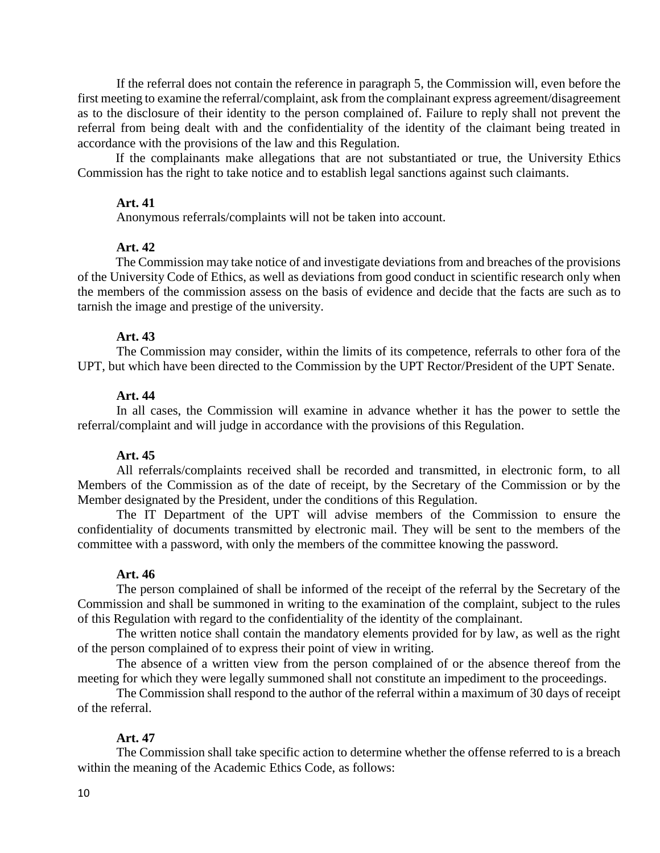If the referral does not contain the reference in paragraph 5, the Commission will, even before the first meeting to examine the referral/complaint, ask from the complainant express agreement/disagreement as to the disclosure of their identity to the person complained of. Failure to reply shall not prevent the referral from being dealt with and the confidentiality of the identity of the claimant being treated in accordance with the provisions of the law and this Regulation.

If the complainants make allegations that are not substantiated or true, the University Ethics Commission has the right to take notice and to establish legal sanctions against such claimants.

## **Art. 41**

Anonymous referrals/complaints will not be taken into account.

## **Art. 42**

The Commission may take notice of and investigate deviations from and breaches of the provisions of the University Code of Ethics, as well as deviations from good conduct in scientific research only when the members of the commission assess on the basis of evidence and decide that the facts are such as to tarnish the image and prestige of the university.

## **Art. 43**

The Commission may consider, within the limits of its competence, referrals to other fora of the UPT, but which have been directed to the Commission by the UPT Rector/President of the UPT Senate.

## **Art. 44**

In all cases, the Commission will examine in advance whether it has the power to settle the referral/complaint and will judge in accordance with the provisions of this Regulation.

## **Art. 45**

All referrals/complaints received shall be recorded and transmitted, in electronic form, to all Members of the Commission as of the date of receipt, by the Secretary of the Commission or by the Member designated by the President, under the conditions of this Regulation.

The IT Department of the UPT will advise members of the Commission to ensure the confidentiality of documents transmitted by electronic mail. They will be sent to the members of the committee with a password, with only the members of the committee knowing the password.

#### **Art. 46**

The person complained of shall be informed of the receipt of the referral by the Secretary of the Commission and shall be summoned in writing to the examination of the complaint, subject to the rules of this Regulation with regard to the confidentiality of the identity of the complainant.

The written notice shall contain the mandatory elements provided for by law, as well as the right of the person complained of to express their point of view in writing.

The absence of a written view from the person complained of or the absence thereof from the meeting for which they were legally summoned shall not constitute an impediment to the proceedings.

The Commission shall respond to the author of the referral within a maximum of 30 days of receipt of the referral.

## **Art. 47**

The Commission shall take specific action to determine whether the offense referred to is a breach within the meaning of the Academic Ethics Code, as follows: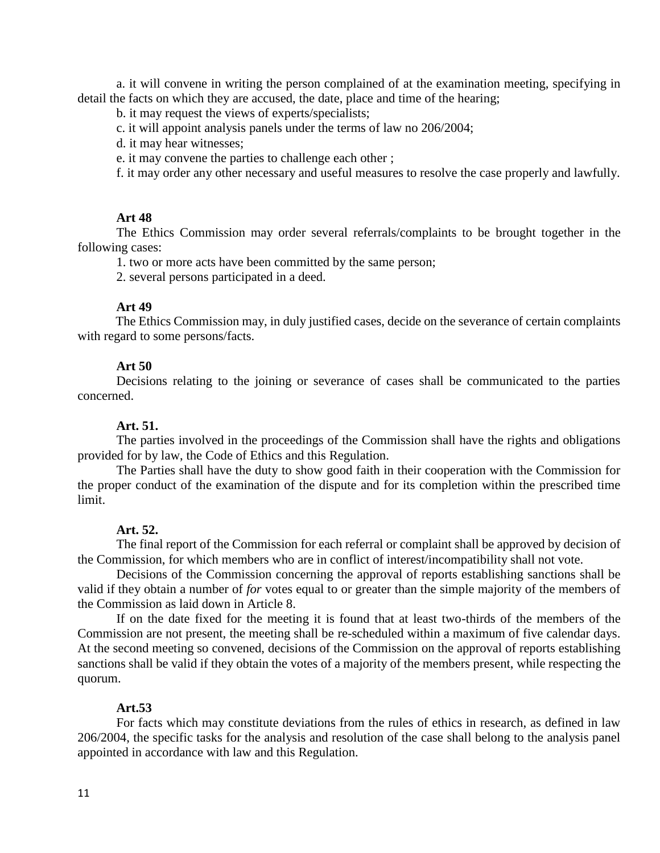a. it will convene in writing the person complained of at the examination meeting, specifying in detail the facts on which they are accused, the date, place and time of the hearing;

b. it may request the views of experts/specialists;

c. it will appoint analysis panels under the terms of law no 206/2004;

d. it may hear witnesses;

e. it may convene the parties to challenge each other ;

f. it may order any other necessary and useful measures to resolve the case properly and lawfully.

## **Art 48**

The Ethics Commission may order several referrals/complaints to be brought together in the following cases:

1. two or more acts have been committed by the same person;

2. several persons participated in a deed.

## **Art 49**

The Ethics Commission may, in duly justified cases, decide on the severance of certain complaints with regard to some persons/facts.

#### **Art 50**

Decisions relating to the joining or severance of cases shall be communicated to the parties concerned.

## **Art. 51.**

The parties involved in the proceedings of the Commission shall have the rights and obligations provided for by law, the Code of Ethics and this Regulation.

The Parties shall have the duty to show good faith in their cooperation with the Commission for the proper conduct of the examination of the dispute and for its completion within the prescribed time limit.

## **Art. 52.**

The final report of the Commission for each referral or complaint shall be approved by decision of the Commission, for which members who are in conflict of interest/incompatibility shall not vote.

Decisions of the Commission concerning the approval of reports establishing sanctions shall be valid if they obtain a number of *for* votes equal to or greater than the simple majority of the members of the Commission as laid down in Article 8.

If on the date fixed for the meeting it is found that at least two-thirds of the members of the Commission are not present, the meeting shall be re-scheduled within a maximum of five calendar days. At the second meeting so convened, decisions of the Commission on the approval of reports establishing sanctions shall be valid if they obtain the votes of a majority of the members present, while respecting the quorum.

## **Art.53**

For facts which may constitute deviations from the rules of ethics in research, as defined in law 206/2004, the specific tasks for the analysis and resolution of the case shall belong to the analysis panel appointed in accordance with law and this Regulation.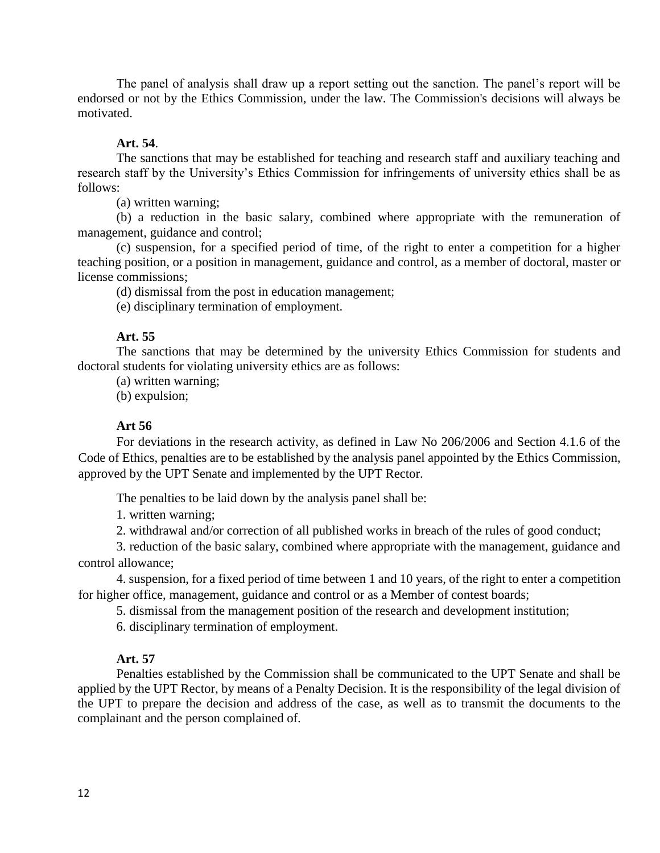The panel of analysis shall draw up a report setting out the sanction. The panel's report will be endorsed or not by the Ethics Commission, under the law. The Commission's decisions will always be motivated.

## **Art. 54**.

The sanctions that may be established for teaching and research staff and auxiliary teaching and research staff by the University's Ethics Commission for infringements of university ethics shall be as follows:

(a) written warning;

(b) a reduction in the basic salary, combined where appropriate with the remuneration of management, guidance and control;

(c) suspension, for a specified period of time, of the right to enter a competition for a higher teaching position, or a position in management, guidance and control, as a member of doctoral, master or license commissions;

(d) dismissal from the post in education management;

(e) disciplinary termination of employment.

## **Art. 55**

The sanctions that may be determined by the university Ethics Commission for students and doctoral students for violating university ethics are as follows:

(a) written warning;

(b) expulsion;

## **Art 56**

For deviations in the research activity, as defined in Law No 206/2006 and Section 4.1.6 of the Code of Ethics, penalties are to be established by the analysis panel appointed by the Ethics Commission, approved by the UPT Senate and implemented by the UPT Rector.

The penalties to be laid down by the analysis panel shall be:

1. written warning;

2. withdrawal and/or correction of all published works in breach of the rules of good conduct;

3. reduction of the basic salary, combined where appropriate with the management, guidance and control allowance;

4. suspension, for a fixed period of time between 1 and 10 years, of the right to enter a competition for higher office, management, guidance and control or as a Member of contest boards;

5. dismissal from the management position of the research and development institution;

6. disciplinary termination of employment.

#### **Art. 57**

Penalties established by the Commission shall be communicated to the UPT Senate and shall be applied by the UPT Rector, by means of a Penalty Decision. It is the responsibility of the legal division of the UPT to prepare the decision and address of the case, as well as to transmit the documents to the complainant and the person complained of.